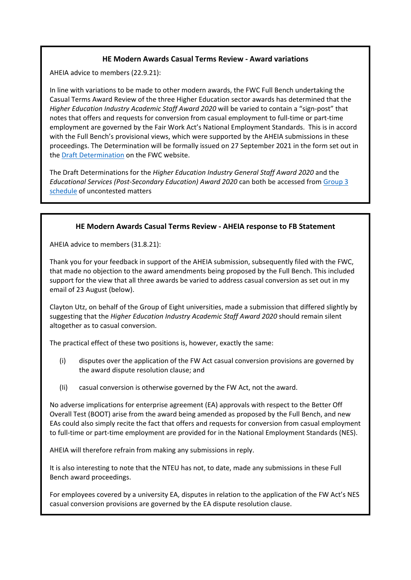## **HE Modern Awards Casual Terms Review - Award variations**

AHEIA advice to members (22.9.21):

In line with variations to be made to other modern awards, the FWC Full Bench undertaking the Casual Terms Award Review of the three Higher Education sector awards has determined that the *Higher Education Industry Academic Staff Award 2020* will be varied to contain a "sign-post" that notes that offers and requests for conversion from casual employment to full-time or part-time employment are governed by the Fair Work Act's National Employment Standards. This is in accord with the Full Bench's provisional views, which were supported by the AHEIA submissions in these proceedings. The Determination will be formally issued on 27 September 2021 in the form set out in the [Draft Determination](https://www.fwc.gov.au/documents/sites/casual-terms-review/determinations/ma000006-draft-determination.pdf) on the FWC website.

The Draft Determinations for the *Higher Education Industry General Staff Award 2020* and the *Educational Services (Post-Secondary Education) Award 2020* can both be accessed fro[m Group 3](https://www.fwc.gov.au/documents/sites/casual-terms-review/determinations/am202154-schedule-dd-group-3.pdf)  [schedule](https://www.fwc.gov.au/documents/sites/casual-terms-review/determinations/am202154-schedule-dd-group-3.pdf) of uncontested matters

## **HE Modern Awards Casual Terms Review - AHEIA response to FB Statement**

AHEIA advice to members (31.8.21):

Thank you for your feedback in support of the AHEIA submission, subsequently filed with the FWC, that made no objection to the award amendments being proposed by the Full Bench. This included support for the view that all three awards be varied to address casual conversion as set out in my email of 23 August (below).

Clayton Utz, on behalf of the Group of Eight universities, made a submission that differed slightly by suggesting that the *Higher Education Industry Academic Staff Award 2020* should remain silent altogether as to casual conversion.

The practical effect of these two positions is, however, exactly the same:

- (i) disputes over the application of the FW Act casual conversion provisions are governed by the award dispute resolution clause; and
- (Ii) casual conversion is otherwise governed by the FW Act, not the award.

No adverse implications for enterprise agreement (EA) approvals with respect to the Better Off Overall Test (BOOT) arise from the award being amended as proposed by the Full Bench, and new EAs could also simply recite the fact that offers and requests for conversion from casual employment to full-time or part-time employment are provided for in the National Employment Standards (NES).

AHEIA will therefore refrain from making any submissions in reply.

It is also interesting to note that the NTEU has not, to date, made any submissions in these Full Bench award proceedings.

For employees covered by a university EA, disputes in relation to the application of the FW Act's NES casual conversion provisions are governed by the EA dispute resolution clause.